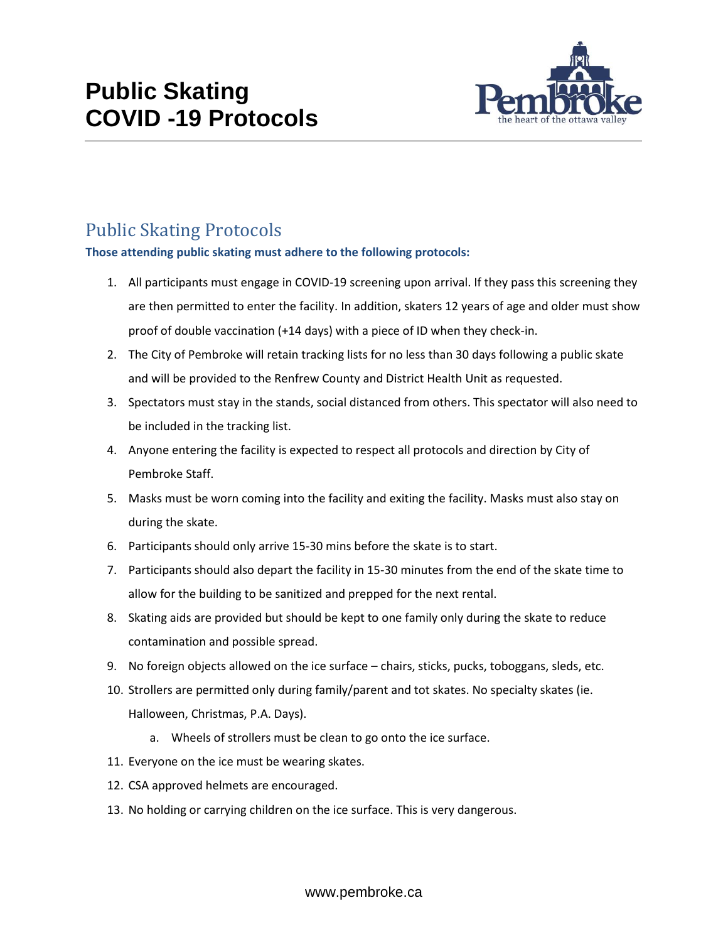

## Public Skating Protocols

## **Those attending public skating must adhere to the following protocols:**

- 1. All participants must engage in COVID-19 screening upon arrival. If they pass this screening they are then permitted to enter the facility. In addition, skaters 12 years of age and older must show proof of double vaccination (+14 days) with a piece of ID when they check-in.
- 2. The City of Pembroke will retain tracking lists for no less than 30 days following a public skate and will be provided to the Renfrew County and District Health Unit as requested.
- 3. Spectators must stay in the stands, social distanced from others. This spectator will also need to be included in the tracking list.
- 4. Anyone entering the facility is expected to respect all protocols and direction by City of Pembroke Staff.
- 5. Masks must be worn coming into the facility and exiting the facility. Masks must also stay on during the skate.
- 6. Participants should only arrive 15-30 mins before the skate is to start.
- 7. Participants should also depart the facility in 15-30 minutes from the end of the skate time to allow for the building to be sanitized and prepped for the next rental.
- 8. Skating aids are provided but should be kept to one family only during the skate to reduce contamination and possible spread.
- 9. No foreign objects allowed on the ice surface chairs, sticks, pucks, toboggans, sleds, etc.
- 10. Strollers are permitted only during family/parent and tot skates. No specialty skates (ie. Halloween, Christmas, P.A. Days).
	- a. Wheels of strollers must be clean to go onto the ice surface.
- 11. Everyone on the ice must be wearing skates.
- 12. CSA approved helmets are encouraged.
- 13. No holding or carrying children on the ice surface. This is very dangerous.

www.pembroke.ca